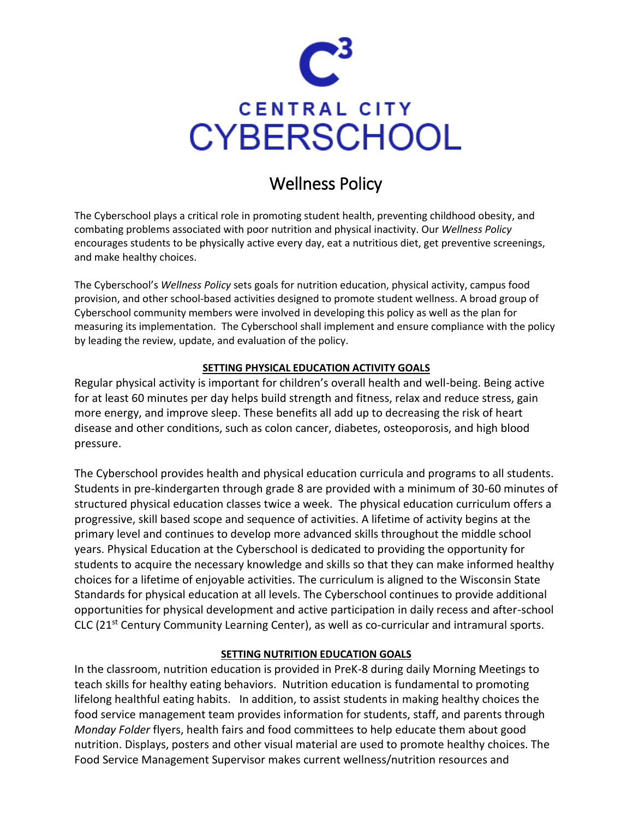

# Wellness Policy

The Cyberschool plays a critical role in promoting student health, preventing childhood obesity, and combating problems associated with poor nutrition and physical inactivity. Our *Wellness Policy* encourages students to be [physically active every day,](http://www.healthierus.gov/exercise.html) eat a [nutritious diet,](http://www.healthierus.gov/nutrition.html) ge[t preventive screenings](http://www.healthierus.gov/prevention.html), and make [healthy choices.](http://www.healthierus.gov/behaviors.html)

The Cyberschool's *Wellness Policy* sets goals for nutrition education, physical activity, campus food provision, and other school-based activities designed to promote student wellness. A broad group of Cyberschool community members were involved in developing this policy as well as the plan for measuring its implementation. The Cyberschool shall implement and ensure compliance with the policy by leading the review, update, and evaluation of the policy.

### **SETTING PHYSICAL EDUCATION ACTIVITY GOALS**

Regular physical activity is important for children's overall health and well-being. Being active for at least 60 minutes per day helps build strength and fitness, relax and reduce stress, gain more energy, and improve sleep. These benefits all add up to decreasing the risk of heart disease and other conditions, such as colon cancer, diabetes, osteoporosis, and high blood pressure.

The Cyberschool provides health and physical education curricula and programs to all students. Students in pre-kindergarten through grade 8 are provided with a minimum of 30-60 minutes of structured physical education classes twice a week. The physical education curriculum offers a progressive, skill based scope and sequence of activities. A lifetime of activity begins at the primary level and continues to develop more advanced skills throughout the middle school years. Physical Education at the Cyberschool is dedicated to providing the opportunity for students to acquire the necessary knowledge and skills so that they can make informed healthy choices for a lifetime of enjoyable activities. The curriculum is aligned to the Wisconsin State Standards for physical education at all levels. The Cyberschool continues to provide additional opportunities for physical development and active participation in daily recess and after-school CLC (21st Century Community Learning Center), as well as co-curricular and intramural sports.

### **SETTING NUTRITION EDUCATION GOALS**

In the classroom, nutrition education is provided in PreK-8 during daily Morning Meetings to teach skills for healthy eating behaviors. Nutrition education is fundamental to promoting lifelong healthful eating habits. In addition, to assist students in making healthy choices the food service management team provides information for students, staff, and parents through *Monday Folder* flyers, health fairs and food committees to help educate them about good nutrition. Displays, posters and other visual material are used to promote healthy choices. The Food Service Management Supervisor makes current wellness/nutrition resources and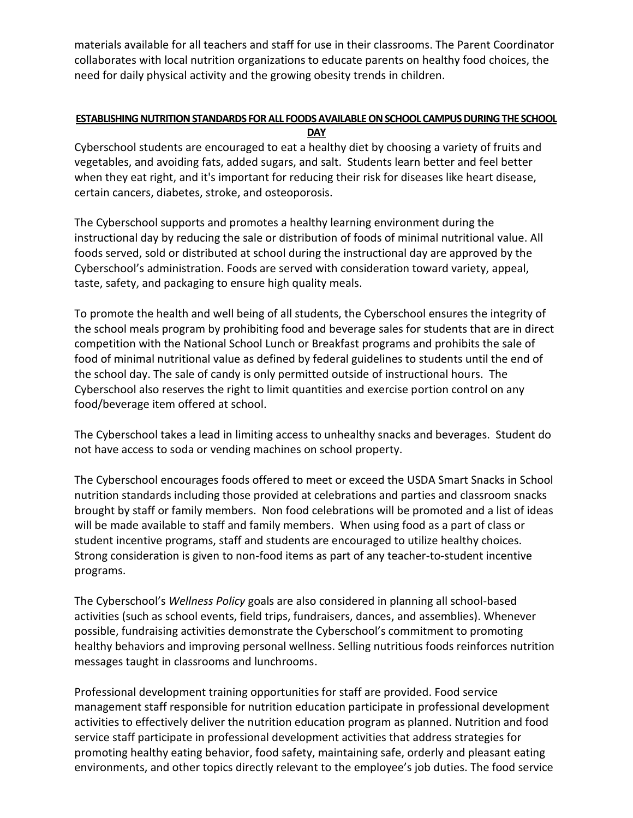materials available for all teachers and staff for use in their classrooms. The Parent Coordinator collaborates with local nutrition organizations to educate parents on healthy food choices, the need for daily physical activity and the growing obesity trends in children.

## **ESTABLISHING NUTRITION STANDARDS FOR ALL FOODS AVAILABLE ON SCHOOL CAMPUS DURING THE SCHOOL**

**DAY**

Cyberschool students are encouraged to eat a healthy diet by choosing a variety of fruits and vegetables, and avoiding fats, added sugars, and salt. Students learn better and feel better when they eat right, and it's important for reducing their risk for diseases like heart disease, certain cancers, diabetes, stroke, and osteoporosis.

The Cyberschool supports and promotes a healthy learning environment during the instructional day by reducing the sale or distribution of foods of minimal nutritional value. All foods served, sold or distributed at school during the instructional day are approved by the Cyberschool's administration. Foods are served with consideration toward variety, appeal, taste, safety, and packaging to ensure high quality meals.

To promote the health and well being of all students, the Cyberschool ensures the integrity of the school meals program by prohibiting food and beverage sales for students that are in direct competition with the National School Lunch or Breakfast programs and prohibits the sale of food of minimal nutritional value as defined by federal guidelines to students until the end of the school day. The sale of candy is only permitted outside of instructional hours. The Cyberschool also reserves the right to limit quantities and exercise portion control on any food/beverage item offered at school.

The Cyberschool takes a lead in limiting access to unhealthy snacks and beverages. Student do not have access to soda or vending machines on school property.

The Cyberschool encourages foods offered to meet or exceed the USDA Smart Snacks in School nutrition standards including those provided at celebrations and parties and classroom snacks brought by staff or family members. Non food celebrations will be promoted and a list of ideas will be made available to staff and family members. When using food as a part of class or student incentive programs, staff and students are encouraged to utilize healthy choices. Strong consideration is given to non-food items as part of any teacher-to-student incentive programs.

The Cyberschool's *Wellness Policy* goals are also considered in planning all school-based activities (such as school events, field trips, fundraisers, dances, and assemblies). Whenever possible, fundraising activities demonstrate the Cyberschool's commitment to promoting healthy behaviors and improving personal wellness. Selling nutritious foods reinforces nutrition messages taught in classrooms and lunchrooms.

Professional development training opportunities for staff are provided. Food service management staff responsible for nutrition education participate in professional development activities to effectively deliver the nutrition education program as planned. Nutrition and food service staff participate in professional development activities that address strategies for promoting healthy eating behavior, food safety, maintaining safe, orderly and pleasant eating environments, and other topics directly relevant to the employee's job duties. The food service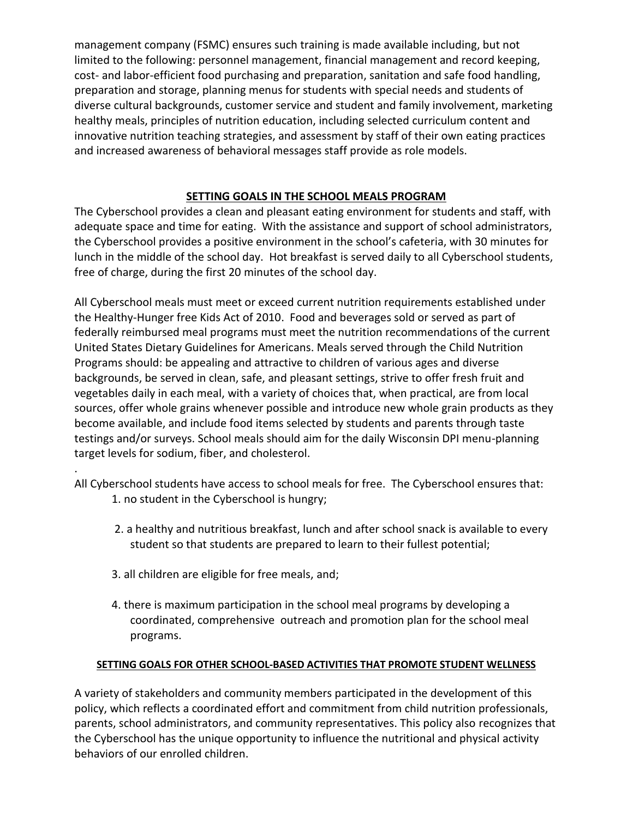management company (FSMC) ensures such training is made available including, but not limited to the following: personnel management, financial management and record keeping, cost- and labor-efficient food purchasing and preparation, sanitation and safe food handling, preparation and storage, planning menus for students with special needs and students of diverse cultural backgrounds, customer service and student and family involvement, marketing healthy meals, principles of nutrition education, including selected curriculum content and innovative nutrition teaching strategies, and assessment by staff of their own eating practices and increased awareness of behavioral messages staff provide as role models.

### **SETTING GOALS IN THE SCHOOL MEALS PROGRAM**

The Cyberschool provides a clean and pleasant eating environment for students and staff, with adequate space and time for eating. With the assistance and support of school administrators, the Cyberschool provides a positive environment in the school's cafeteria, with 30 minutes for lunch in the middle of the school day. Hot breakfast is served daily to all Cyberschool students, free of charge, during the first 20 minutes of the school day.

All Cyberschool meals must meet or exceed current nutrition requirements established under the Healthy-Hunger free Kids Act of 2010. Food and beverages sold or served as part of federally reimbursed meal programs must meet the nutrition recommendations of the current United States Dietary Guidelines for Americans. Meals served through the Child Nutrition Programs should: be appealing and attractive to children of various ages and diverse backgrounds, be served in clean, safe, and pleasant settings, strive to offer fresh fruit and vegetables daily in each meal, with a variety of choices that, when practical, are from local sources, offer whole grains whenever possible and introduce new whole grain products as they become available, and include food items selected by students and parents through taste testings and/or surveys. School meals should aim for the daily Wisconsin DPI menu-planning target levels for sodium, fiber, and cholesterol.

All Cyberschool students have access to school meals for free. The Cyberschool ensures that: 1. no student in the Cyberschool is hungry;

- 2. a healthy and nutritious breakfast, lunch and after school snack is available to every student so that students are prepared to learn to their fullest potential;
- 3. all children are eligible for free meals, and;

.

4. there is maximum participation in the school meal programs by developing a coordinated, comprehensive outreach and promotion plan for the school meal programs.

### **SETTING GOALS FOR OTHER SCHOOL-BASED ACTIVITIES THAT PROMOTE STUDENT WELLNESS**

A variety of stakeholders and community members participated in the development of this policy, which reflects a coordinated effort and commitment from child nutrition professionals, parents, school administrators, and community representatives. This policy also recognizes that the Cyberschool has the unique opportunity to influence the nutritional and physical activity behaviors of our enrolled children.